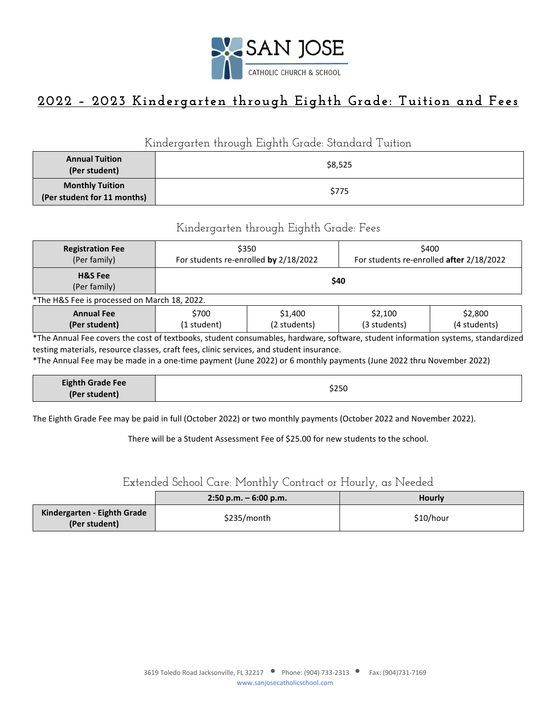

# **2022 – 2023 Kindergarten through Eighth Grade: Tuition and Fees**

#### Kindergarten through Eighth Grade: Standard Tuition

| <b>Annual Tuition</b><br>(Per student)                | \$8,525 |
|-------------------------------------------------------|---------|
| <b>Monthly Tuition</b><br>(Per student for 11 months) | \$775   |

### Kindergarten through Eighth Grade: Fees

| <b>Registration Fee</b><br>(Per family)      | \$350<br>For students re-enrolled by 2/18/2022                                                        |  |  | \$400<br>For students re-enrolled after 2/18/2022 |
|----------------------------------------------|-------------------------------------------------------------------------------------------------------|--|--|---------------------------------------------------|
| <b>H&amp;S</b> Fee<br>(Per family)           | \$40                                                                                                  |  |  |                                                   |
| *The H&S Fee is processed on March 18, 2022. |                                                                                                       |  |  |                                                   |
| <b>Annual Fee</b><br>(Per student)           | \$700<br>\$2,100<br>\$2,800<br>\$1,400<br>(2 students)<br>(4 students)<br>(3 students)<br>(1 student) |  |  |                                                   |

\*The Annual Fee covers the cost of textbooks, student consumables, hardware, software, student information systems, standardized testing materials, resource classes, craft fees, clinic services, and student insurance.

\*The Annual Fee may be made in a one-time payment (June 2022) or 6 monthly payments (June 2022 thru November 2022)

| <b>Eighth Grade Fee</b><br>\$250<br>(Per student) |  |
|---------------------------------------------------|--|
|---------------------------------------------------|--|

The Eighth Grade Fee may be paid in full (October 2022) or two monthly payments (October 2022 and November 2022).

There will be a Student Assessment Fee of \$25.00 for new students to the school.

### Extended School Care: Monthly Contract or Hourly, as Needed

|                                              | $2:50$ p.m. $-6:00$ p.m. | <b>Hourly</b> |
|----------------------------------------------|--------------------------|---------------|
| Kindergarten - Eighth Grade<br>(Per student) | \$235/month              | \$10/hour     |